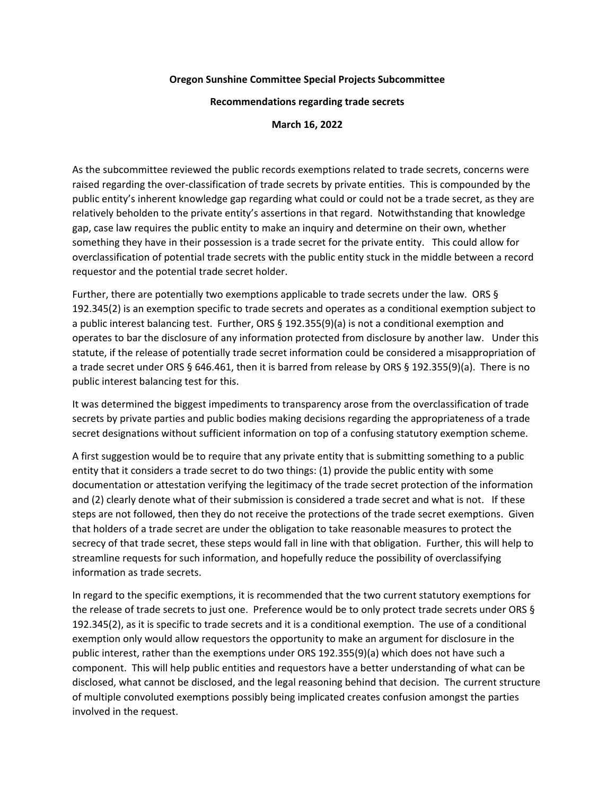## **Oregon Sunshine Committee Special Projects Subcommittee**

**Recommendations regarding trade secrets**

**March 16, 2022**

As the subcommittee reviewed the public records exemptions related to trade secrets, concerns were raised regarding the over-classification of trade secrets by private entities. This is compounded by the public entity's inherent knowledge gap regarding what could or could not be a trade secret, as they are relatively beholden to the private entity's assertions in that regard. Notwithstanding that knowledge gap, case law requires the public entity to make an inquiry and determine on their own, whether something they have in their possession is a trade secret for the private entity. This could allow for overclassification of potential trade secrets with the public entity stuck in the middle between a record requestor and the potential trade secret holder.

Further, there are potentially two exemptions applicable to trade secrets under the law. ORS § 192.345(2) is an exemption specific to trade secrets and operates as a conditional exemption subject to a public interest balancing test. Further, ORS § 192.355(9)(a) is not a conditional exemption and operates to bar the disclosure of any information protected from disclosure by another law. Under this statute, if the release of potentially trade secret information could be considered a misappropriation of a trade secret under ORS § 646.461, then it is barred from release by ORS § 192.355(9)(a). There is no public interest balancing test for this.

It was determined the biggest impediments to transparency arose from the overclassification of trade secrets by private parties and public bodies making decisions regarding the appropriateness of a trade secret designations without sufficient information on top of a confusing statutory exemption scheme.

A first suggestion would be to require that any private entity that is submitting something to a public entity that it considers a trade secret to do two things: (1) provide the public entity with some documentation or attestation verifying the legitimacy of the trade secret protection of the information and (2) clearly denote what of their submission is considered a trade secret and what is not. If these steps are not followed, then they do not receive the protections of the trade secret exemptions. Given that holders of a trade secret are under the obligation to take reasonable measures to protect the secrecy of that trade secret, these steps would fall in line with that obligation. Further, this will help to streamline requests for such information, and hopefully reduce the possibility of overclassifying information as trade secrets.

In regard to the specific exemptions, it is recommended that the two current statutory exemptions for the release of trade secrets to just one. Preference would be to only protect trade secrets under ORS § 192.345(2), as it is specific to trade secrets and it is a conditional exemption. The use of a conditional exemption only would allow requestors the opportunity to make an argument for disclosure in the public interest, rather than the exemptions under ORS 192.355(9)(a) which does not have such a component. This will help public entities and requestors have a better understanding of what can be disclosed, what cannot be disclosed, and the legal reasoning behind that decision. The current structure of multiple convoluted exemptions possibly being implicated creates confusion amongst the parties involved in the request.